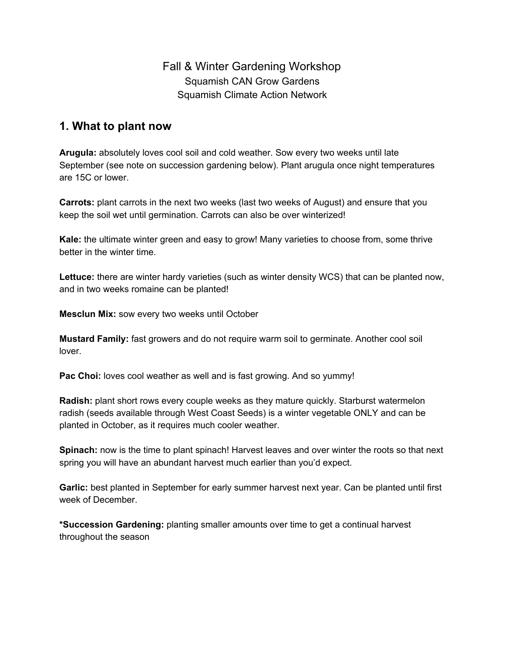# Fall & Winter Gardening Workshop Squamish CAN Grow Gardens Squamish Climate Action Network

## **1. What to plant now**

**Arugula:** absolutely loves cool soil and cold weather. Sow every two weeks until late September (see note on succession gardening below). Plant arugula once night temperatures are 15C or lower.

**Carrots:** plant carrots in the next two weeks (last two weeks of August) and ensure that you keep the soil wet until germination. Carrots can also be over winterized!

**Kale:** the ultimate winter green and easy to grow! Many varieties to choose from, some thrive better in the winter time.

**Lettuce:** there are winter hardy varieties (such as winter density WCS) that can be planted now, and in two weeks romaine can be planted!

**Mesclun Mix:** sow every two weeks until October

**Mustard Family:** fast growers and do not require warm soil to germinate. Another cool soil lover.

**Pac Choi:** loves cool weather as well and is fast growing. And so yummy!

**Radish:** plant short rows every couple weeks as they mature quickly. Starburst watermelon radish (seeds available through West Coast Seeds) is a winter vegetable ONLY and can be planted in October, as it requires much cooler weather.

**Spinach:** now is the time to plant spinach! Harvest leaves and over winter the roots so that next spring you will have an abundant harvest much earlier than you'd expect.

**Garlic:** best planted in September for early summer harvest next year. Can be planted until first week of December.

**\*Succession Gardening:** planting smaller amounts over time to get a continual harvest throughout the season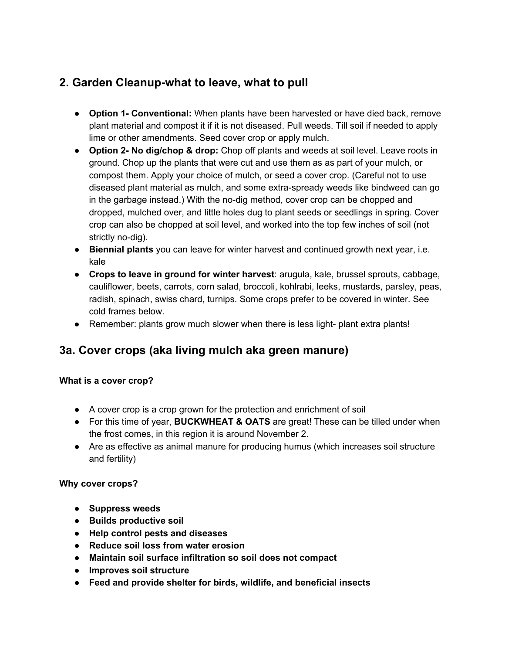# **2. Garden Cleanup-what to leave, what to pull**

- **Option 1- Conventional:** When plants have been harvested or have died back, remove plant material and compost it if it is not diseased. Pull weeds. Till soil if needed to apply lime or other amendments. Seed cover crop or apply mulch.
- **Option 2- No dig/chop & drop:** Chop off plants and weeds at soil level. Leave roots in ground. Chop up the plants that were cut and use them as as part of your mulch, or compost them. Apply your choice of mulch, or seed a cover crop. (Careful not to use diseased plant material as mulch, and some extra-spready weeds like bindweed can go in the garbage instead.) With the no-dig method, cover crop can be chopped and dropped, mulched over, and little holes dug to plant seeds or seedlings in spring. Cover crop can also be chopped at soil level, and worked into the top few inches of soil (not strictly no-dig).
- **Biennial plants** you can leave for winter harvest and continued growth next year, i.e. kale
- **Crops to leave in ground for winter harvest**: arugula, kale, brussel sprouts, cabbage, cauliflower, beets, carrots, corn salad, broccoli, kohlrabi, leeks, mustards, parsley, peas, radish, spinach, swiss chard, turnips. Some crops prefer to be covered in winter. See cold frames below.
- Remember: plants grow much slower when there is less light- plant extra plants!

# **3a. Cover crops (aka living mulch aka green manure)**

### **What is a cover crop?**

- A cover crop is a crop grown for the protection and enrichment of soil
- For this time of year, **BUCKWHEAT & OATS** are great! These can be tilled under when the frost comes, in this region it is around November 2.
- Are as effective as animal manure for producing humus (which increases soil structure and fertility)

### **Why cover crops?**

- **Suppress weeds**
- **● Builds productive soil**
- **● Help control pests and diseases**
- **● Reduce soil loss from water erosion**
- **● Maintain soil surface infiltration so soil does not compact**
- **● Improves soil structure**
- **● Feed and provide shelter for birds, wildlife, and beneficial insects**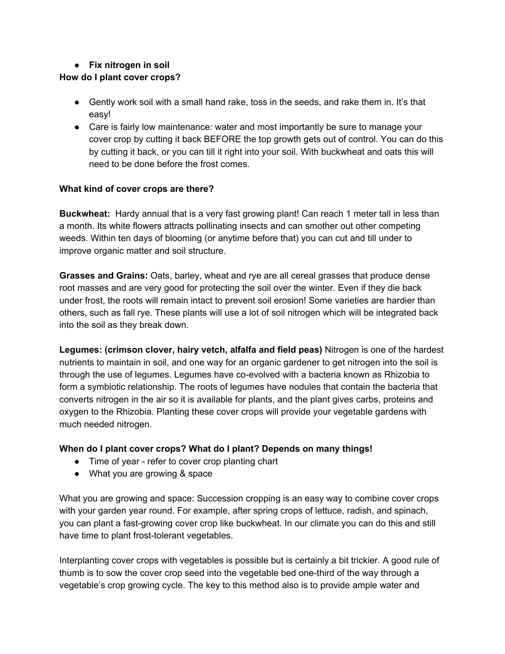## **● Fix nitrogen in soil**

## **How do I plant cover crops?**

- Gently work soil with a small hand rake, toss in the seeds, and rake them in. It's that easy!
- Care is fairly low maintenance: water and most importantly be sure to manage your cover crop by cutting it back BEFORE the top growth gets out of control. You can do this by cutting it back, or you can till it right into your soil. With buckwheat and oats this will need to be done before the frost comes.

## **What kind of cover crops are there?**

**Buckwheat:** Hardy annual that is a very fast growing plant! Can reach 1 meter tall in less than a month. Its white flowers attracts pollinating insects and can smother out other competing weeds. Within ten days of blooming (or anytime before that) you can cut and till under to improve organic matter and soil structure.

**Grasses and Grains:** Oats, barley, wheat and rye are all cereal grasses that produce dense root masses and are very good for protecting the soil over the winter. Even if they die back under frost, the roots will remain intact to prevent soil erosion! Some varieties are hardier than others, such as fall rye. These plants will use a lot of soil nitrogen which will be integrated back into the soil as they break down.

**Legumes: (crimson clover, hairy vetch, alfalfa and field peas)** Nitrogen is one of the hardest nutrients to maintain in soil, and one way for an organic gardener to get nitrogen into the soil is through the use of legumes. Legumes have co-evolved with a bacteria known as Rhizobia to form a symbiotic relationship. The roots of legumes have nodules that contain the bacteria that converts nitrogen in the air so it is available for plants, and the plant gives carbs, proteins and oxygen to the Rhizobia. Planting these cover crops will provide your vegetable gardens with much needed nitrogen.

### **When do I plant cover crops? What do I plant? Depends on many things!**

- Time of year refer to cover crop planting chart
- What you are growing & space

What you are growing and space: Succession cropping is an easy way to combine cover crops with your garden year round. For example, after spring crops of lettuce, radish, and spinach, you can plant a fast-growing cover crop like buckwheat. In our climate you can do this and still have time to plant frost-tolerant vegetables.

Interplanting cover crops with vegetables is possible but is certainly a bit trickier. A good rule of thumb is to sow the cover crop seed into the vegetable bed one-third of the way through a vegetable's crop growing cycle. The key to this method also is to provide ample water and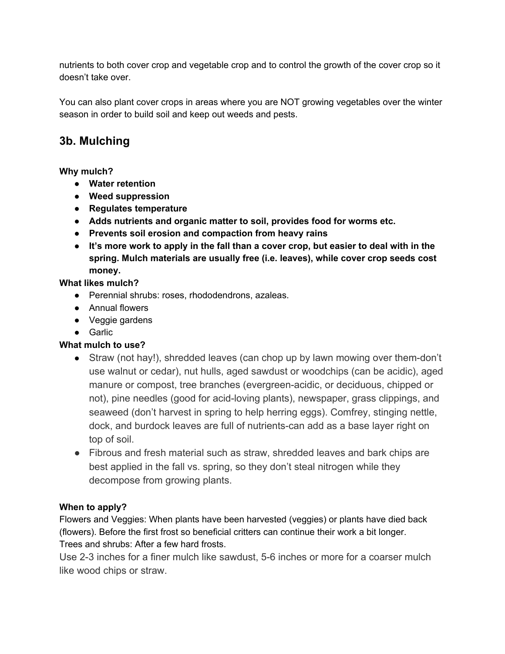nutrients to both cover crop and vegetable crop and to control the growth of the cover crop so it doesn't take over.

You can also plant cover crops in areas where you are NOT growing vegetables over the winter season in order to build soil and keep out weeds and pests.

# **3b. Mulching**

## **Why mulch?**

- **● Water retention**
- **● Weed suppression**
- **● Regulates temperature**
- **● Adds nutrients and organic matter to soil, provides food for worms etc.**
- **● Prevents soil erosion and compaction from heavy rains**
- **It's more work to apply in the fall than a cover crop, but easier to deal with in the spring. Mulch materials are usually free (i.e. leaves), while cover crop seeds cost money.**

## **What likes mulch?**

- Perennial shrubs: roses, rhododendrons, azaleas.
- Annual flowers
- Veggie gardens
- Garlic

## **What mulch to use?**

- Straw (not hay!), shredded leaves (can chop up by lawn mowing over them-don't use walnut or cedar), nut hulls, aged sawdust or woodchips (can be acidic), aged manure or compost, tree branches (evergreen-acidic, or deciduous, chipped or not), pine needles (good for acid-loving plants), newspaper, grass clippings, and seaweed (don't harvest in spring to help herring eggs). Comfrey, stinging nettle, dock, and burdock leaves are full of nutrients-can add as a base layer right on top of soil.
- Fibrous and fresh material such as straw, shredded leaves and bark chips are best applied in the fall vs. spring, so they don't steal nitrogen while they decompose from growing plants.

## **When to apply?**

Flowers and Veggies: When plants have been harvested (veggies) or plants have died back (flowers). Before the first frost so beneficial critters can continue their work a bit longer. Trees and shrubs: After a few hard frosts.

Use 2-3 inches for a finer mulch like sawdust, 5-6 inches or more for a coarser mulch like wood chips or straw.